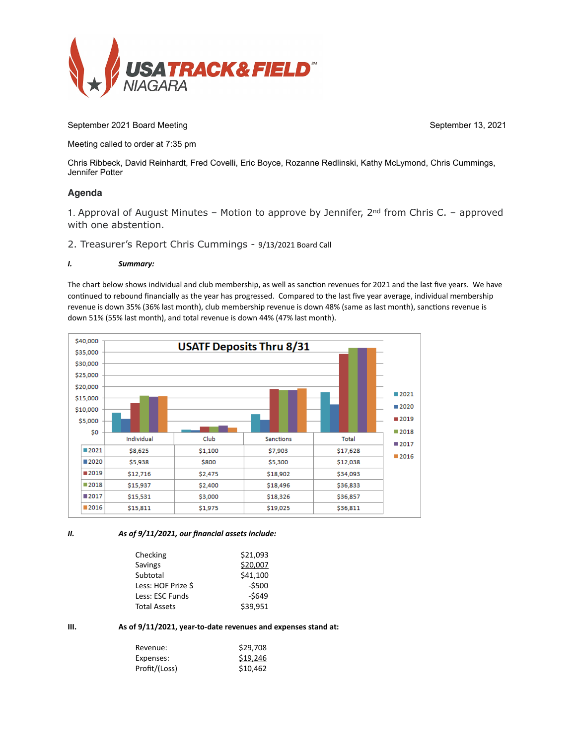

September 2021 Board Meeting September 13, 2021

Meeting called to order at 7:35 pm

Chris Ribbeck, David Reinhardt, Fred Covelli, Eric Boyce, Rozanne Redlinski, Kathy McLymond, Chris Cummings, Jennifer Potter

## **Agenda**

1. Approval of August Minutes – Motion to approve by Jennifer,  $2<sup>nd</sup>$  from Chris C. – approved with one abstention.

2. Treasurer's Report Chris Cummings - 9/13/2021 Board Call

## *I. Summary:*

The chart below shows individual and club membership, as well as sanction revenues for 2021 and the last five years. We have continued to rebound financially as the year has progressed. Compared to the last five year average, individual membership revenue is down 35% (36% last month), club membership revenue is down 48% (same as last month), sanctions revenue is down 51% (55% last month), and total revenue is down 44% (47% last month).



*II. As of 9/11/2021, our financial assets include:* 

| Checking            | \$21,093 |
|---------------------|----------|
| Savings             | \$20,007 |
| Subtotal            | \$41,100 |
| Less: HOF Prize \$  | $-5500$  |
| Less: ESC Funds     | $-5649$  |
| <b>Total Assets</b> | \$39.951 |
|                     |          |

**III. As of 9/11/2021, year-to-date revenues and expenses stand at:** 

| Revenue:      | \$29,708 |
|---------------|----------|
| Expenses:     | \$19,246 |
| Profit/(Loss) | \$10,462 |